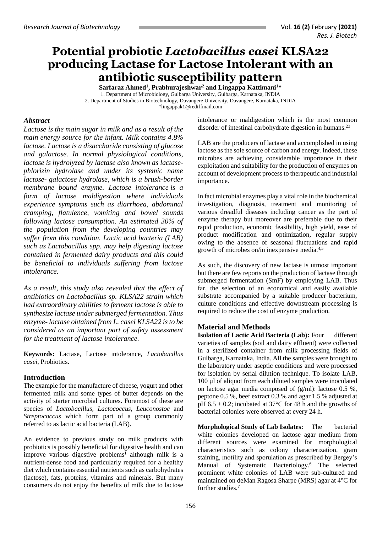# **Potential probiotic** *Lactobacillus casei* **KLSA22 producing Lactase for Lactose Intolerant with an antibiotic susceptibility pattern**

**Sarfaraz Ahmed<sup>1</sup> , Prabhurajeshwar<sup>2</sup> and Lingappa Kattimani<sup>1</sup>\*** 1. Department of Microbiology, Gulbarga University, Gulbarga, Karnataka, INDIA 2. Department of Studies in Biotechnology, Davangere University, Davangere, Karnataka, INDIA [\\*lingappak1@rediffmail.com](mailto:lingappak1@rediffmail.com)

### *Abstract*

*Lactose is the main sugar in milk and as a result of the main energy source for the infant. Milk contains 4.8% lactose. Lactose is a disaccharide consisting of glucose and galactose. In normal physiological conditions, lactose is hydrolyzed by lactase also known as lactasephlorizin hydrolase and under its systemic name lactose- galactose hydrolase, which is a brush-border membrane bound enzyme. [Lactose intolerance](http://www.nhs.uk/conditions/Lactose-intolerance/Pages/Introduction.aspx) is a form of lactose maldigestion where individuals experience symptoms such as diarrhoea, abdominal cramping, flatulence, vomiting and bowel sounds following lactose consumption. An estimated 30% of the population from the developing countries may suffer from this condition. Lactic acid bacteria (LAB) such as Lactobacillus spp. may help digesting lactose contained in fermented dairy products and this could be beneficial to individuals suffering from lactose intolerance.*

*As a result, this study also revealed that the effect of antibiotics on Lactobacillus sp. KLSA22 strain which had extraordinary abilities to ferment lactose is able to synthesize lactase under submerged fermentation. Thus enzyme- lactase obtained from L. casei KLSA22 isto be considered as an important part of safety assessment for the treatment of lactose intolerance.*

**Keywords:** Lactase, Lactose intolerance, *Lactobacillus casei*, Probiotics.

### **Introduction**

The example for the manufacture of cheese, yogurt and other fermented milk and some types of butter depends on the activity of starter microbial cultures. Foremost of these are species of *Lactobacillus, Lactococcus, Leuconostoc* and *Streptococcus* which form part of a group commonly referred to as lactic acid bacteria (LAB).

An evidence to previous study on milk products with probiotics is possibly beneficial for digestive health and can improve various digestive problems<sup>1</sup> although milk is a nutrient-dense food and particularly required for a healthy diet which contains essential nutrients such as carbohydrates (lactose), fats, proteins, vitamins and minerals. But many consumers do not enjoy the benefits of milk due to lactose intolerance or maldigestion which is the most common disorder of intestinal carbohydrate digestion in humans.<sup>23</sup>

LAB are the producers of lactase and accomplished in using lactose as the sole source of carbon and energy. Indeed, these microbes are achieving considerable importance in their exploitation and suitability for the production of enzymes on account of development process to therapeutic and industrial importance.

In fact microbial enzymes play a vital role in the biochemical investigation, diagnosis, treatment and monitoring of various dreadful diseases including cancer as the part of enzyme therapy but moreover are preferable due to their rapid production, economic feasibility, high yield, ease of product modification and optimization, regular supply owing to the absence of seasonal fluctuations and rapid growth of microbes on/in inexpensive media. 4,5

As such, the discovery of new lactase is utmost important but there are few reports on the production of lactase through submerged fermentation (SmF) by employing LAB. Thus far, the selection of an economical and easily available substrate accompanied by a suitable producer bacterium, culture conditions and effective downstream processing is required to reduce the cost of enzyme production.

## **Material and Methods**

**Isolation of Lactic Acid Bacteria (Lab):** Four different varieties of samples (soil and dairy effluent) were collected in a sterilized container from milk processing fields of Gulbarga, Karnataka, India. All the samples were brought to the laboratory under aseptic conditions and were processed for isolation by serial dilution technique. To isolate LAB, 100 µl of aliquot from each diluted samples were inoculated on lactose agar media composed of (g/ml): lactose 0.5 %, peptone 0.5 %, beef extract 0.3 % and agar 1.5 % adjusted at pH 6.5  $\pm$  0.2; incubated at 37°C for 48 h and the growths of bacterial colonies were observed at every 24 h.

**Morphological Study of Lab Isolates:** The bacterial white colonies developed on lactose agar medium from different sources were examined for morphological characteristics such as colony characterization, gram staining, motility and sporulation as prescribed by Bergey's Manual of Systematic Bacteriology.<sup>6</sup> The selected prominent white colonies of LAB were sub-cultured and maintained on deMan Ragosa Sharpe (MRS) agar at 4°C for further studies. 7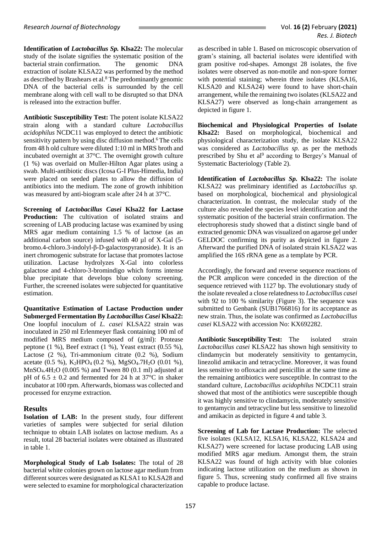**Identification of** *Lactobacillus Sp.* **Klsa22:** The molecular study of the isolate signifies the systematic position of the bacterial strain confirmation. The genomic DNA extraction of isolate KLSA22 was performed by the method as described by Brashears et al. <sup>8</sup> The predominantly genomic DNA of the bacterial cells is surrounded by the cell membrane along with cell wall to be disrupted so that DNA is released into the extraction buffer.

**Antibiotic Susceptibility Test:** The potent isolate KLSA22 strain along with a standard culture *Lactobacillus acidophilus* NCDC11 was employed to detect the antibiotic sensitivity pattern by using disc diffusion method. <sup>6</sup> The cells from 48 h old culture were diluted 1:10 ml in MRS broth and incubated overnight at 37°C. The overnight growth culture (1 %) was overlaid on Muller-Hilton Agar plates using a swab. Multi-antibiotic discs (Icosa G-I Plus-Himedia, India) were placed on seeded plates to allow the diffusion of antibiotics into the medium. The zone of growth inhibition was measured by anti-biogram scale after 24 h at 37°C.

**Screening of** *Lactobacillus Casei* **Klsa22 for Lactase Production:** The cultivation of isolated strains and screening of LAB producing lactase was examined by using MRS agar medium containing 1.5 % of lactose (as an additional carbon source) infused with 40 µl of X-Gal (5 bromo.4-chloro.3-indolyl-β-D-galactospyranoside). It is an inert chromogenic substrate for lactase that promotes lactose utilization. Lactase hydrolyzes X-Gal into colorless galactose and 4-chloro-3-bromindigo which forms intense blue precipitate that develops blue colony screening. Further, the screened isolates were subjected for quantitative estimation.

**Quantitative Estimation of Lactase Production under Submerged Fermentation By** *Lactobacillus Casei* **Klsa22:**  One loopful inoculum of *L. casei* KLSA22 strain was inoculated in 250 ml Erlenmeyer flask containing 100 ml of modified MRS medium composed of (g/ml): Protease peptone (1 %), Beef extract (1 %), Yeast extract (0.55 %), Lactose (2 %), Tri-ammonium citrate (0.2 %), Sodium acetate (0.5 %), K<sub>2</sub>HPO<sub>4</sub> (0.2 %), MgSO<sub>4</sub>.7H<sub>2</sub>O (0.01 %), MnSO4.4H2O (0.005 %) and Tween 80 (0.1 ml) adjusted at pH of  $6.5 \pm 0.2$  and fermented for 24 h at 37°C in shaker incubator at 100 rpm. Afterwards, biomass was collected and processed for enzyme extraction.

### **Results**

**Isolation of LAB:** In the present study, four different varieties of samples were subjected for serial dilution technique to obtain LAB isolates on lactose medium. As a result, total 28 bacterial isolates were obtained as illustrated in table 1.

**Morphological Study of Lab Isolates:** The total of 28 bacterial white colonies grown on lactose agar medium from different sources were designated as KLSA1 to KLSA28 and were selected to examine for morphological characterization

as described in table 1. Based on microscopic observation of gram's staining, all bacterial isolates were identified with gram positive rod-shapes. Amongst 28 isolates, the five isolates were observed as non-motile and non-spore former with potential staining; wherein three isolates (KLSA16, KLSA20 and KLSA24) were found to have short-chain arrangement, while the remaining two isolates (KLSA22 and KLSA27) were observed as long-chain arrangement as depicted in figure 1.

**Biochemical and Physiological Properties of Isolate Klsa22:** Based on morphological, biochemical and physiological characterization study, the isolate KLSA22 was considered as *Lactobacillus sp.* as per the methods prescribed by Shu et al<sup>9</sup> according to Bergey's Manual of Systematic Bacteriology (Table 2).

**Identification of** *Lactobacillus Sp.* **Klsa22:** The isolate KLSA22 was preliminary identified as *Lactobacillus sp.* based on morphological, biochemical and physiological characterization. In contrast, the molecular study of the culture also revealed the species level identification and the systematic position of the bacterial strain confirmation. The electrophoresis study showed that a distinct single band of extracted genomic DNA was visualized on agarose gel under GELDOC confirming its purity as depicted in figure 2. Afterward the purified DNA of isolated strain KLSA22 was amplified the 16S rRNA gene as a template by PCR.

Accordingly, the forward and reverse sequence reactions of the PCR amplicon were conceded in the direction of the sequence retrieved with 1127 bp. The evolutionary study of the isolate revealed a close relatedness to *Lactobacillus casei*  with 92 to 100 % similarity (Figure 3). The sequence was submitted to Genbank (SUB1766816) for its acceptance as new strain. Thus, the isolate was confirmed as *Lactobacillus casei* KLSA22 with accession No: KX692282.

**Antibiotic Susceptibility Test:** The isolated strain *Lactobacillus casei* KLSA22 has shown high sensitivity to clindamycin but moderately sensitivity to gentamycin, linezolid amikacin and tetracycline. Moreover, it was found less sensitive to ofloxacin and penicillin at the same time as the remaining antibiotics were susceptible. In contrast to the standard culture, *Lactobacillus acidophilus* NCDC11 strain showed that most of the antibiotics were susceptible though it was highly sensitive to clindamycin, moderately sensitive to gentamycin and tetracycline but less sensitive to linezolid and amikacin as depicted in figure 4 and table 3.

**Screening of Lab for Lactase Production:** The selected five isolates (KLSA12, KLSA16, KLSA22, KLSA24 and KLSA27) were screened for lactase producing LAB using modified MRS agar medium. Amongst them, the strain KLSA22 was found of high activity with blue colonies indicating lactose utilization on the medium as shown in figure 5. Thus, screening study confirmed all five strains capable to produce lactase.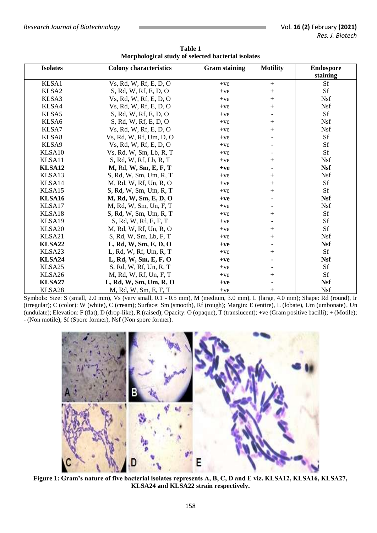| <b>Isolates</b> | <b>Colony characteristics</b> | <b>Gram staining</b> | <b>Motility</b> | <b>Endospore</b> |
|-----------------|-------------------------------|----------------------|-----------------|------------------|
|                 |                               |                      |                 | staining         |
| KLSA1           | Vs, Rd, W, Rf, E, D, O        | $+ve$                | $^{+}$          | Sf               |
| KLSA2           | S, Rd, W, Rf, E, D, O         | $+ve$                | $^+$            | Sf               |
| KLSA3           | Vs, Rd, W, Rf, E, D, O        | $+ve$                | $^{+}$          | <b>Nsf</b>       |
| KLSA4           | Vs, Rd, W, Rf, E, D, O        | $+ve$                | $^{+}$          | <b>Nsf</b>       |
| KLSA5           | S, Rd, W, Rf, E, D, O         | $+ve$                |                 | Sf               |
| KLSA6           | S, Rd, W, Rf, E, D, O         | $+ve$                | $^{+}$          | <b>Nsf</b>       |
| KLSA7           | Vs, Rd, W, Rf, E, D, O        | $+ve$                | $^{+}$          | <b>Nsf</b>       |
| KLSA8           | Vs, Rd, W, Rf, Um, D, O       | $+ve$                |                 | Sf               |
| KLSA9           | Vs, Rd, W, Rf, E, D, O        | $+ve$                |                 | Sf               |
| KLSA10          | Vs, Rd, W, Sm, Lb, R, T       | $+ve$                |                 | Sf               |
| KLSA11          | S, Rd, W, Rf, Lb, R, T        | $+ve$                | $^{+}$          | <b>Nsf</b>       |
| KLSA12          | M, Rd, W, Sm, E, F, T         | $+ve$                |                 | <b>Nsf</b>       |
| KLSA13          | S, Rd, W, Sm, Um, R, T        | $+ve$                | $\overline{+}$  | <b>Nsf</b>       |
| KLSA14          | M, Rd, W, Rf, Un, R, O        | $+ve$                | $^{+}$          | Sf               |
| KLSA15          | S, Rd, W, Sm, Um, R, T        | $+ve$                | $^{+}$          | Sf               |
| KLSA16          | M, Rd, W, Sm, E, D, O         | $+ve$                |                 | <b>Nsf</b>       |
| KLSA17          | M, Rd, W, Sm, Un, F, T        | $+ve$                |                 | <b>Nsf</b>       |
| KLSA18          | S, Rd, W, Sm, Um, R, T        | $+ve$                | $\overline{+}$  | Sf               |
| KLSA19          | S, Rd, W, Rf, E, F, T         | $+ve$                |                 | Sf               |
| KLSA20          | M, Rd, W, Rf, Un, R, O        | $+ve$                | $^{+}$          | Sf               |
| KLSA21          | S, Rd, W, Sm, Lb, F, T        | $+ve$                | $^{+}$          | <b>Nsf</b>       |
| KLSA22          | L, Rd, W, Sm, E, D, O         | $+ve$                |                 | <b>Nsf</b>       |
| KLSA23          | L, Rd, W, Rf, Um, R, T        | $+ve$                | $^{+}$          | Sf               |
| KLSA24          | L, Rd, W, Sm, E, F, O         | $+ve$                |                 | <b>Nsf</b>       |
| KLSA25          | S, Rd, W, Rf, Un, R, T        | $+ve$                |                 | Sf               |
| KLSA26          | M, Rd, W, Rf, Un, F, T        | $+ve$                | $\overline{+}$  | Sf               |
| KLSA27          | L, Rd, W, Sm, Um, R, O        | $+ve$                |                 | <b>Nsf</b>       |
| KLSA28          | M, Rd, W, Sm, E, F, T         | $+ve$                | $^{+}$          | <b>Nsf</b>       |

**Table 1 Morphological study of selected bacterial isolates**

Symbols: Size: S (small, 2.0 mm), Vs (very small, 0.1 - 0.5 mm), M (medium, 3.0 mm), L (large, 4.0 mm); Shape: Rd (round), Ir (irregular); C (color): W (white), C (cream); Surface: Sm (smooth), Rf (rough); Margin: E (entire), L (lobate), Um (umbonate), Un (undulate); Elevation: F (flat), D (drop-like), R (raised); Opacity: O (opaque), T (translucent); +ve (Gram positive bacilli); + (Motile); - (Non motile); Sf (Spore former), Nsf (Non spore former).



**Figure 1: Gram's nature of five bacterial isolates represents A, B, C, D and E viz. KLSA12, KLSA16, KLSA27, KLSA24 and KLSA22 strain respectively.**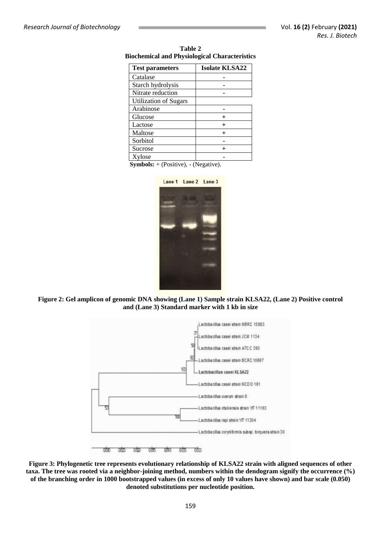| <b>Test parameters</b>       | <b>Isolate KLSA22</b> |  |
|------------------------------|-----------------------|--|
| Catalase                     |                       |  |
| Starch hydrolysis            |                       |  |
| Nitrate reduction            |                       |  |
| <b>Utilization of Sugars</b> |                       |  |
| Arabinose                    |                       |  |
| Glucose                      |                       |  |
| Lactose                      |                       |  |
| Maltose                      |                       |  |
| Sorbitol                     |                       |  |
| Sucrose                      |                       |  |
| Xylose                       |                       |  |

**Table 2 Biochemical and Physiological Characteristics**

**Symbols:** + (Positive), - (Negative).







**Figure 3: Phylogenetic tree represents evolutionary relationship of KLSA22 strain with aligned sequences of other taxa. The tree was rooted via a neighbor-joining method, numbers within the dendogram signify the occurrence (%) of the branching order in 1000 bootstrapped values (in excess of only 10 values have shown) and bar scale (0.050) denoted substitutions per nucleotide position.**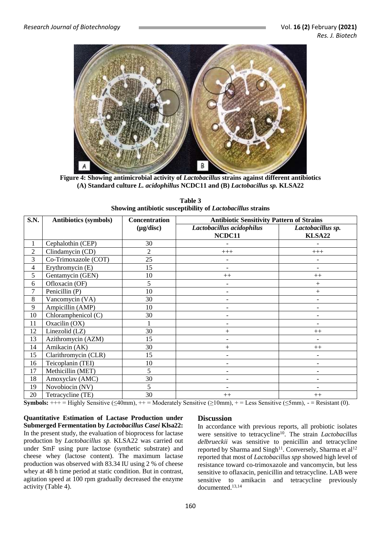

**Figure 4: Showing antimicrobial activity of** *Lactobacillus* **strains against different antibiotics (A) Standard culture** *L. acidophillus* **NCDC11 and (B)** *Lactobacillus sp.* **KLSA22**

**Table 3 Showing antibiotic susceptibility of** *Lactobacillus* **strains**

| <b>S.N.</b>    | <b>Antibiotics (symbols)</b> | Concentration  | <b>Antibiotic Sensitivity Pattern of Strains</b> |                             |  |
|----------------|------------------------------|----------------|--------------------------------------------------|-----------------------------|--|
|                |                              | $(\mu g/disc)$ | Lactobacillus acidophilus<br>NCDC11              | Lactobacillus sp.<br>KLSA22 |  |
| 1              | Cephalothin (CEP)            | 30             |                                                  |                             |  |
| $\overline{2}$ | Clindamycin (CD)             | $\overline{2}$ | $+++$                                            | $+++$                       |  |
| 3              | Co-Trimoxazole (COT)         | 25             |                                                  |                             |  |
| 4              | Erythromycin (E)             | 15             |                                                  |                             |  |
| 5              | Gentamycin (GEN)             | 10             | $++$                                             | $++$                        |  |
| 6              | Ofloxacin (OF)               | 5              |                                                  | $+$                         |  |
| 7              | Penicillin (P)               | 10             |                                                  | $^{+}$                      |  |
| 8              | Vancomycin (VA)              | 30             |                                                  |                             |  |
| 9              | Ampicillin (AMP)             | 10             |                                                  |                             |  |
| 10             | Chloramphenicol (C)          | 30             |                                                  |                             |  |
| 11             | Oxacilin (OX)                |                |                                                  |                             |  |
| 12             | Linezolid (LZ)               | 30             | $^{+}$                                           | $^{++}$                     |  |
| 13             | Azithromycin (AZM)           | 15             |                                                  |                             |  |
| 14             | Amikacin (AK)                | 30             | $^{+}$                                           | $^{++}$                     |  |
| 15             | Clarithromycin (CLR)         | 15             |                                                  |                             |  |
| 16             | Teicoplanin (TEI)            | 10             |                                                  |                             |  |
| 17             | Methicillin (MET)            | 5              |                                                  |                             |  |
| 18             | Amoxyclav (AMC)              | 30             |                                                  |                             |  |
| 19             | Novobiocin (NV)              | 5              |                                                  |                             |  |
| 20             | Tetracycline (TE)            | 30             | $++$                                             | $^{++}$                     |  |

**Symbols:**  $++$  = Highly Sensitive ( $\leq$ 40mm),  $++$  = Moderately Sensitive ( $\geq$ 10mm),  $+$  = Less Sensitive ( $\leq$ 5mm),  $-$  = Resistant (0).

**Quantitative Estimation of Lactase Production under Submerged Fermentation by** *Lactobacillus Casei* **Klsa22:**  In the present study, the evaluation of bioprocess for lactase production by *Lactobacillus sp.* KLSA22 was carried out under SmF using pure lactose (synthetic substrate) and cheese whey (lactose content). The maximum lactase production was observed with 83.34 IU using 2 % of cheese whey at 48 h time period at static condition. But in contrast, agitation speed at 100 rpm gradually decreased the enzyme activity (Table 4).

#### **Discussion**

In accordance with previous reports, all probiotic isolates were sensitive to tetracycline<sup>10</sup>. The strain *Lactobacillus delbrueckii* was sensitive to penicillin and tetracycline reported by Sharma and Singh<sup>11</sup>. Conversely, Sharma et al<sup>12</sup> reported that most of *Lactobacillus spp* showed high level of resistance toward co-trimoxazole and vancomycin, but less sensitive to oflaxacin, penicillin and tetracycline. LAB were sensitive to amikacin and tetracycline previously documented. 13,14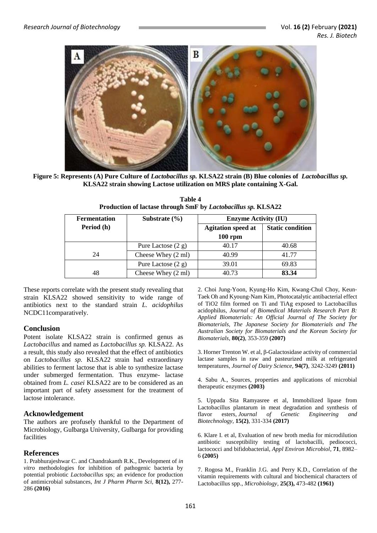

**Figure 5: Represents (A) Pure Culture of** *Lactobacillus sp.* **KLSA22 strain (B) Blue colonies of** *Lactobacillus sp.* **KLSA22 strain showing Lactose utilization on MRS plate containing X-Gal.**

| <b>Fermentation</b> | Substrate $(\% )$    | <b>Enzyme Activity (IU)</b> |                         |
|---------------------|----------------------|-----------------------------|-------------------------|
| Period (h)          |                      | <b>Agitation speed at</b>   | <b>Static condition</b> |
|                     |                      | $100$ rpm                   |                         |
|                     | Pure Lactose $(2 g)$ | 40.17                       | 40.68                   |
| 24                  | Cheese Whey (2 ml)   | 40.99                       | 41.77                   |
|                     | Pure Lactose $(2 g)$ | 39.01                       | 69.83                   |
|                     | Cheese Whey (2 ml)   | 40.73                       | 83.34                   |

**Table 4 Production of lactase through SmF by** *Lactobacillus sp.* **KLSA22**

These reports correlate with the present study revealing that strain KLSA22 showed sensitivity to wide range of antibiotics next to the standard strain *L. acidophilus* NCDC11comparatively.

### **Conclusion**

Potent isolate KLSA22 strain is confirmed genus as *Lactobacillus* and named as *Lactobacillus sp.* KLSA22. As a result, this study also revealed that the effect of antibiotics on *Lactobacillus sp.* KLSA22 strain had extraordinary abilities to ferment lactose that is able to synthesize lactase under submerged fermentation. Thus enzyme- lactase obtained from *L. casei* KLSA22 are to be considered as an important part of safety assessment for the treatment of lactose intolerance.

### **Acknowledgement**

The authors are profusely thankful to the Department of Microbiology, Gulbarga University, Gulbarga for providing facilities

### **References**

1. Prabhurajeshwar C. and Chandrakanth R.K., Development of *in vitro* methodologies for inhibition of pathogenic bacteria by potential probiotic *Lactobacillus* sps; an evidence for production of antimicrobial substances, *Int J Pharm Pharm Sci,* **8(12),** 277- 286 **(2016)**

2. Choi Jung‐Yoon, Kyung‐Ho Kim, Kwang‐Chul Choy, Keun‐ Taek Oh and Kyoung‐Nam Kim, Photocatalytic antibacterial effect of TiO2 film formed on Ti and TiAg exposed to Lactobacillus acidophilus, *Journal of Biomedical Materials Research Part B: Applied Biomaterials: An Official Journal of The Society for Biomaterials, The Japanese Society for Biomaterials and The Australian Society for Biomaterials and the Korean Society for Biomaterials,* **80(2)**, 353-359 **(2007)**

3. Horner Trenton W. et al, β-Galactosidase activity of commercial lactase samples in raw and pasteurized milk at refrigerated temperatures, *Journal of Dairy Science,* **94(7)**, 3242-3249 **(2011)**

4. Sabu A., Sources, properties and applications of microbial therapeutic enzymes **(2003)**

5. Uppada Sita Ramyasree et al, Immobilized lipase from Lactobacillus plantarum in meat degradation and synthesis of flavor esters, *Journal of Genetic Engineering and Biotechnology,* **15(2)**, 331-334 **(2017)**

6. Klare I. et al, Evaluation of new broth media for microdilution antibiotic susceptibility testing of lactobacilli, pediococci, lactococci and bifidobacterial, *Appl Environ Microbiol*, **71**, 8982– 6 **(2005)**

7. Rogosa M., Franklin J.G. and Perry K.D., Correlation of the vitamin requirements with cultural and biochemical characters of Lactobacillus spp., *Microbiology,* **25(3),** 473-482 **(1961)**